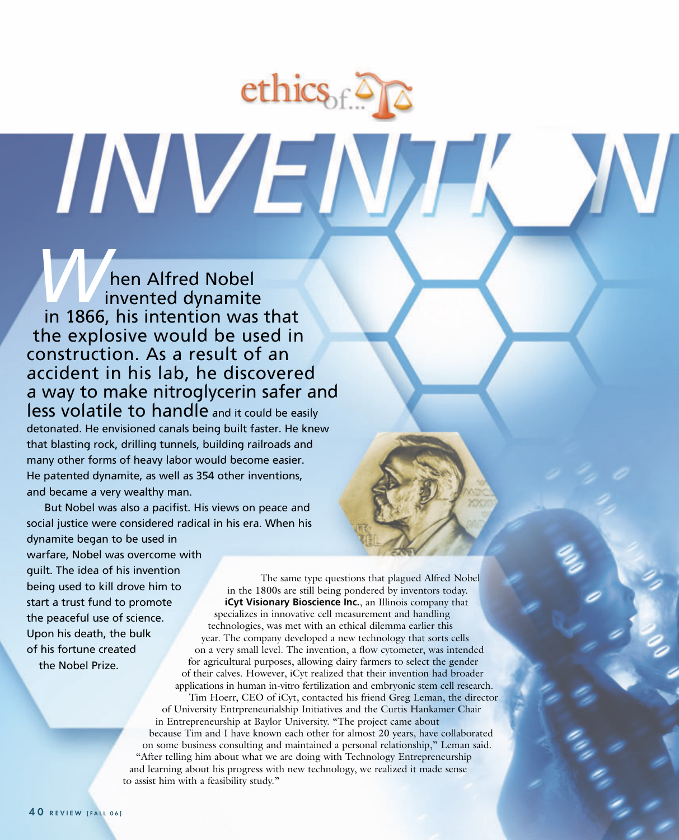hen Alfred Nobel invented dynamite in 1866, his intention was that the explosive would be used in construction. As a result of an accident in his lab, he discovered a way to make nitroglycerin safer and less volatile to handle and it could be easily *W*

INVEN

detonated. He envisioned canals being built faster. He knew that blasting rock, drilling tunnels, building railroads and many other forms of heavy labor would become easier. He patented dynamite, as well as 354 other inventions, and became a very wealthy man.

But Nobel was also a pacifist. His views on peace and social justice were considered radical in his era. When his dynamite began to be used in warfare, Nobel was overcome with guilt. The idea of his invention being used to kill drove him to start a trust fund to promote the peaceful use of science. Upon his death, the bulk of his fortune created the Nobel Prize. The same type questions that plagued Alfred Nobel in the 1800s are still being pondered by inventors today. **iCyt Visionary Bioscience Inc.**, an Illinois company that

specializes in innovative cell measurement and handling technologies, was met with an ethical dilemma earlier this year. The company developed a new technology that sorts cells on a very small level. The invention, a flow cytometer, was intended for agricultural purposes, allowing dairy farmers to select the gender of their calves. However, iCyt realized that their invention had broader applications in human in-vitro fertilization and embryonic stem cell research. Tim Hoerr, CEO of iCyt, contacted his friend Greg Leman, the director of University Entrpreneurialship Initiatives and the Curtis Hankamer Chair in Entrepreneurship at Baylor University. "The project came about because Tim and I have known each other for almost 20 years, have collaborated on some business consulting and maintained a personal relationship," Leman said. "After telling him about what we are doing with Technology Entrepreneurship and learning about his progress with new technology, we realized it made sense to assist him with a feasibility study."

ethics  $\mathcal{E}$